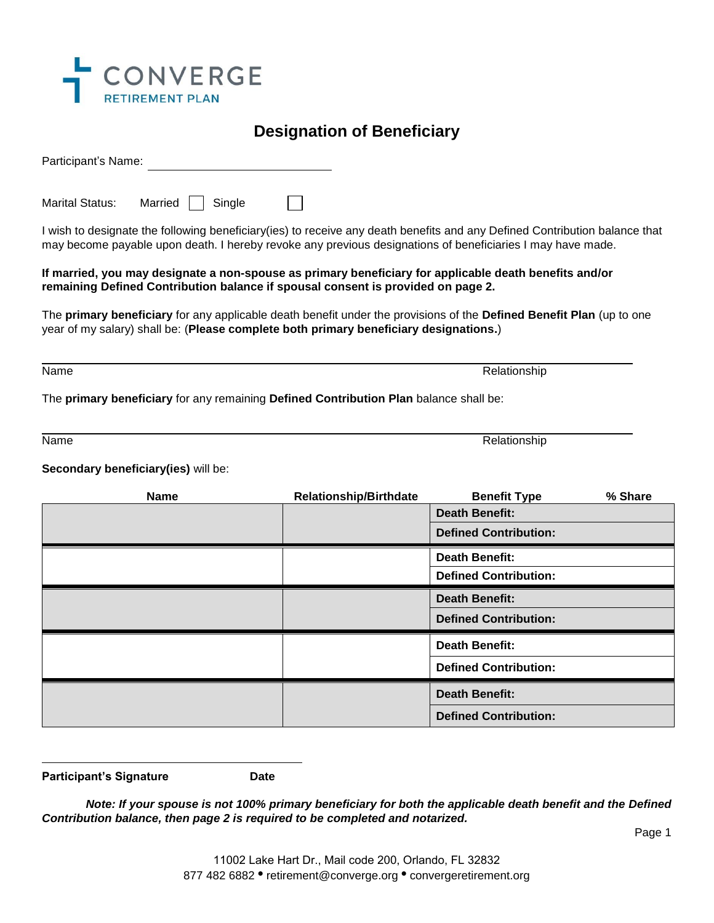

## **Designation of Beneficiary**

Participant's Name:

Marital Status: Married  $\Box$  Single

I wish to designate the following beneficiary(ies) to receive any death benefits and any Defined Contribution balance that may become payable upon death. I hereby revoke any previous designations of beneficiaries I may have made.

## **If married, you may designate a non-spouse as primary beneficiary for applicable death benefits and/or remaining Defined Contribution balance if spousal consent is provided on page 2.**

The **primary beneficiary** for any applicable death benefit under the provisions of the **Defined Benefit Plan** (up to one year of my salary) shall be: (**Please complete both primary beneficiary designations.**)

Name Relationship Control of the Control of the Control of the Control of the Control of the Control of the Control of the Control of the Control of the Control of the Control of the Control of the Control of the Control o

The **primary beneficiary** for any remaining **Defined Contribution Plan** balance shall be:

Name Relationship Control of the Control of the Control of the Control of the Relationship

**Secondary beneficiary(ies)** will be:

| <b>Name</b> | <b>Relationship/Birthdate</b> | <b>Benefit Type</b>          | % Share |
|-------------|-------------------------------|------------------------------|---------|
|             |                               | <b>Death Benefit:</b>        |         |
|             |                               | <b>Defined Contribution:</b> |         |
|             |                               | <b>Death Benefit:</b>        |         |
|             |                               | <b>Defined Contribution:</b> |         |
|             |                               | <b>Death Benefit:</b>        |         |
|             |                               | <b>Defined Contribution:</b> |         |
|             |                               | <b>Death Benefit:</b>        |         |
|             |                               | <b>Defined Contribution:</b> |         |
|             |                               | <b>Death Benefit:</b>        |         |
|             |                               | <b>Defined Contribution:</b> |         |

**Participant's Signature Date** 

*Note: If your spouse is not 100% primary beneficiary for both the applicable death benefit and the Defined Contribution balance, then page 2 is required to be completed and notarized.* 

Page 1